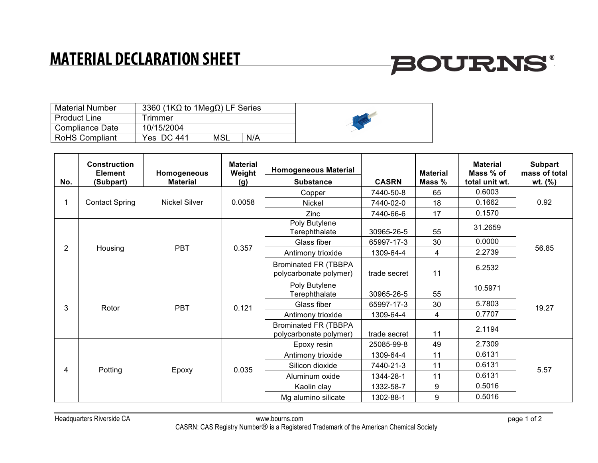### **MATERIAL DECLARATION SHEET**

## **BOURNS®**

| <b>Material Number</b> | 3360 (1K $\Omega$ to 1Meg $\Omega$ ) LF Series |     |     |  |
|------------------------|------------------------------------------------|-----|-----|--|
| <b>Product Line</b>    | <b>Frimmer</b>                                 |     |     |  |
| Compliance Date        | 10/15/2004                                     |     |     |  |
| <b>RoHS Compliant</b>  | Yes DC 441                                     | MSL | N/A |  |

|                | <b>Construction</b><br><b>Element</b> | Homogeneous          | <b>Material</b><br>Weight | <b>Homogeneous Material</b>                           |              | <b>Material</b> | <b>Material</b><br>Mass % of | <b>Subpart</b><br>mass of total |
|----------------|---------------------------------------|----------------------|---------------------------|-------------------------------------------------------|--------------|-----------------|------------------------------|---------------------------------|
| No.            | (Subpart)                             | <b>Material</b>      | (g)                       | <b>Substance</b>                                      | <b>CASRN</b> | Mass %          | total unit wt.               | wt. $(\% )$                     |
|                | <b>Contact Spring</b>                 | <b>Nickel Silver</b> | 0.0058                    | Copper                                                | 7440-50-8    | 65              | 0.6003                       | 0.92                            |
|                |                                       |                      |                           | <b>Nickel</b>                                         | 7440-02-0    | 18              | 0.1662                       |                                 |
|                |                                       |                      |                           | Zinc                                                  | 7440-66-6    | 17              | 0.1570                       |                                 |
| $\overline{2}$ | Housing                               | <b>PBT</b>           | 0.357                     | Poly Butylene<br>Terephthalate                        | 30965-26-5   | 55              | 31.2659                      | 56.85                           |
|                |                                       |                      |                           | Glass fiber                                           | 65997-17-3   | 30              | 0.0000                       |                                 |
|                |                                       |                      |                           | Antimony trioxide                                     | 1309-64-4    | 4               | 2.2739                       |                                 |
|                |                                       |                      |                           | <b>Brominated FR (TBBPA</b><br>polycarbonate polymer) | trade secret | 11              | 6.2532                       |                                 |
| 3              | Rotor                                 | <b>PBT</b>           | 0.121                     | Poly Butylene<br>Terephthalate                        | 30965-26-5   | 55              | 10.5971                      | 19.27                           |
|                |                                       |                      |                           | Glass fiber                                           | 65997-17-3   | 30              | 5.7803                       |                                 |
|                |                                       |                      |                           | Antimony trioxide                                     | 1309-64-4    | $\overline{4}$  | 0.7707                       |                                 |
|                |                                       |                      |                           | <b>Brominated FR (TBBPA</b><br>polycarbonate polymer) | trade secret | 11              | 2.1194                       |                                 |
| 4              | Potting                               | Epoxy                | 0.035                     | Epoxy resin                                           | 25085-99-8   | 49              | 2.7309                       | 5.57                            |
|                |                                       |                      |                           | Antimony trioxide                                     | 1309-64-4    | 11              | 0.6131                       |                                 |
|                |                                       |                      |                           | Silicon dioxide                                       | 7440-21-3    | 11              | 0.6131                       |                                 |
|                |                                       |                      |                           | Aluminum oxide                                        | 1344-28-1    | 11              | 0.6131                       |                                 |
|                |                                       |                      |                           | Kaolin clay                                           | 1332-58-7    | 9               | 0.5016                       |                                 |
|                |                                       |                      |                           | Mg alumino silicate                                   | 1302-88-1    | 9               | 0.5016                       |                                 |